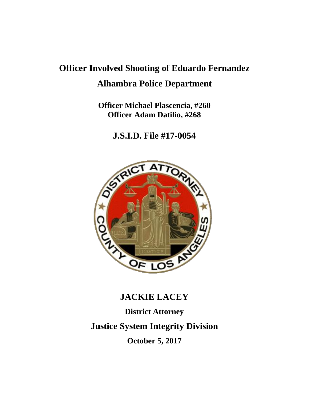## **Officer Involved Shooting of Eduardo Fernandez Alhambra Police Department**

**Officer Michael Plascencia, #260 Officer Adam Datilio, #268**

**J.S.I.D. File #17-0054**



# **JACKIE LACEY District Attorney Justice System Integrity Division October 5, 2017**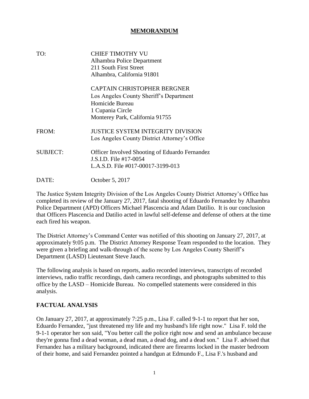#### **MEMORANDUM**

| TO:             | <b>CHIEF TIMOTHY VU</b><br>Alhambra Police Department<br>211 South First Street<br>Alhambra, California 91801 |
|-----------------|---------------------------------------------------------------------------------------------------------------|
|                 | CAPTAIN CHRISTOPHER BERGNER                                                                                   |
|                 | Los Angeles County Sheriff's Department                                                                       |
|                 | Homicide Bureau<br>1 Cupania Circle                                                                           |
|                 | Monterey Park, California 91755                                                                               |
| FROM:           | JUSTICE SYSTEM INTEGRITY DIVISION<br>Los Angeles County District Attorney's Office                            |
| <b>SUBJECT:</b> | Officer Involved Shooting of Eduardo Fernandez<br>J.S.I.D. File #17-0054<br>L.A.S.D. File #017-00017-3199-013 |
| DATE:           | October 5, 2017                                                                                               |

The Justice System Integrity Division of the Los Angeles County District Attorney's Office has completed its review of the January 27, 2017, fatal shooting of Eduardo Fernandez by Alhambra Police Department (APD) Officers Michael Plascencia and Adam Datilio. It is our conclusion that Officers Plascencia and Datilio acted in lawful self-defense and defense of others at the time each fired his weapon.

The District Attorney's Command Center was notified of this shooting on January 27, 2017, at approximately 9:05 p.m. The District Attorney Response Team responded to the location. They were given a briefing and walk-through of the scene by Los Angeles County Sheriff's Department (LASD) Lieutenant Steve Jauch.

The following analysis is based on reports, audio recorded interviews, transcripts of recorded interviews, radio traffic recordings, dash camera recordings, and photographs submitted to this office by the LASD – Homicide Bureau. No compelled statements were considered in this analysis.

#### **FACTUAL ANALYSIS**

On January 27, 2017, at approximately 7:25 p.m., Lisa F. called 9-1-1 to report that her son, Eduardo Fernandez, "just threatened my life and my husband's life right now." Lisa F. told the 9-1-1 operator her son said, "You better call the police right now and send an ambulance because they're gonna find a dead woman, a dead man, a dead dog, and a dead son." Lisa F. advised that Fernandez has a military background, indicated there are firearms locked in the master bedroom of their home, and said Fernandez pointed a handgun at Edmundo F., Lisa F.'s husband and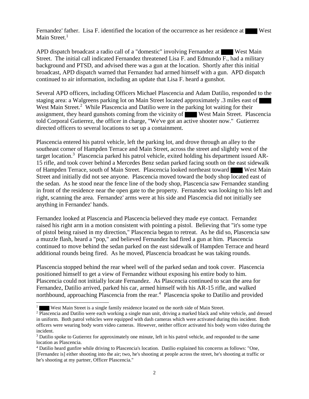Fernandez' father. Lisa F. identified the location of the occurrence as her residence at West Main Street.<sup>1</sup>

APD dispatch broadcast a radio call of a "domestic" involving Fernandez at West Main Street. The initial call indicated Fernandez threatened Lisa F. and Edmundo  $\overline{F}$ ., had a military background and PTSD, and advised there was a gun at the location. Shortly after this initial broadcast, APD dispatch warned that Fernandez had armed himself with a gun. APD dispatch continued to air information, including an update that Lisa F. heard a gunshot.

Several APD officers, including Officers Michael Plascencia and Adam Datilio, responded to the staging area: a Walgreens parking lot on Main Street located approximately .3 miles east of West Main Street.<sup>2</sup> While Plascencia and Datilio were in the parking lot waiting for their assignment, they heard gunshots coming from the vicinity of West Main Street. Plascencia told Corporal Gutierrez, the officer in charge, "We've got an active shooter now." Gutierrez directed officers to several locations to set up a containment.

Plascencia entered his patrol vehicle, left the parking lot, and drove through an alley to the southeast corner of Hampden Terrace and Main Street, across the street and slightly west of the target location.<sup>3</sup> Plascencia parked his patrol vehicle, exited holding his department issued AR-15 rifle, and took cover behind a Mercedes Benz sedan parked facing south on the east sidewalk of Hampden Terrace, south of Main Street. Plascencia looked northeast toward West Main Street and initially did not see anyone. Plascencia moved toward the body shop located east of the sedan. As he stood near the fence line of the body shop, Plascencia saw Fernandez standing in front of the residence near the open gate to the property. Fernandez was looking to his left and right, scanning the area. Fernandez' arms were at his side and Plascencia did not initially see anything in Fernandez' hands.

Fernandez looked at Plascencia and Plascencia believed they made eye contact. Fernandez raised his right arm in a motion consistent with pointing a pistol. Believing that "it's some type of pistol being raised in my direction," Plascencia began to retreat. As he did so, Plascencia saw a muzzle flash, heard a "pop," and believed Fernandez had fired a gun at him. Plascencia continued to move behind the sedan parked on the east sidewalk of Hampden Terrace and heard additional rounds being fired. As he moved, Plascencia broadcast he was taking rounds.

Plascencia stopped behind the rear wheel well of the parked sedan and took cover. Plascencia positioned himself to get a view of Fernandez without exposing his entire body to him. Plascencia could not initially locate Fernandez. As Plascencia continued to scan the area for Fernandez, Datilio arrived, parked his car, armed himself with his AR-15 rifle, and walked northbound, approaching Plascencia from the rear.<sup>4</sup> Plascencia spoke to Datilio and provided

 $\overline{\phantom{a}}$ 

<sup>1</sup> West Main Street is a single family residence located on the north side of Main Street.

<sup>&</sup>lt;sup>2</sup> Plascencia and Datilio were each working a single man unit, driving a marked black and white vehicle, and dressed in uniform. Both patrol vehicles were equipped with dash cameras which were activated during this incident. Both officers were wearing body worn video cameras. However, neither officer activated his body worn video during the incident.

<sup>&</sup>lt;sup>3</sup> Datilio spoke to Gutierrez for approximately one minute, left in his patrol vehicle, and responded to the same location as Plascencia.

<sup>4</sup> Datilio heard gunfire while driving to Plascencia's location. Datilio explained his concerns as follows: "One, [Fernandez is] either shooting into the air; two, he's shooting at people across the street, he's shooting at traffic or he's shooting at my partner, Officer Plascencia."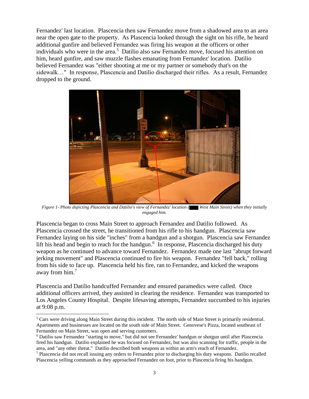Fernandez' last location. Plascencia then saw Fernandez move from a shadowed area to an area near the open gate to the property. As Plascencia looked through the sight on his rifle, he heard additional gunfire and believed Fernandez was firing his weapon at the officers or other individuals who were in the area.<sup>5</sup> Datilio also saw Fernandez move, focused his attention on him, heard gunfire, and saw muzzle flashes emanating from Fernandez' location. Datilio believed Fernandez was "either shooting at me or my partner or somebody that's on the sidewalk…" In response, Plascencia and Datilio discharged their rifles. As a result, Fernandez dropped to the ground.



*Figure 1- Photo depicting Plascencia and Datilio's view of Fernandez' location ( West Main Street) when they initially engaged him.*

Plascencia began to cross Main Street to approach Fernandez and Datilio followed. As Plascencia crossed the street, he transitioned from his rifle to his handgun. Plascencia saw Fernandez laying on his side "inches" from a handgun and a shotgun. Plascencia saw Fernandez lift his head and begin to reach for the handgun. $6\,$  In response, Plascencia discharged his duty weapon as he continued to advance toward Fernandez. Fernandez made one last "abrupt forward jerking movement" and Plascencia continued to fire his weapon. Fernandez "fell back," rolling from his side to face up. Plascencia held his fire, ran to Fernandez, and kicked the weapons away from him.<sup>7</sup>

Plascencia and Datilio handcuffed Fernandez and ensured paramedics were called. Once additional officers arrived, they assisted in clearing the residence. Fernandez was transported to Los Angeles County Hospital. Despite lifesaving attempts, Fernandez succumbed to his injuries at 9:08 p.m.

 $\overline{a}$ 

 $<sup>5</sup>$  Cars were driving along Main Street during this incident. The north side of Main Street is primarily residential.</sup> Apartments and businesses are located on the south side of Main Street. Genovese's Pizza, located southeast of Fernandez on Main Street, was open and serving customers.

<sup>6</sup> Datilio saw Fernandez "starting to move," but did not see Fernandez' handgun or shotgun until after Plascencia fired his handgun. Datilio explained he was focused on Fernandez, but was also scanning for traffic, people in the area, and "any other threat." Datilio described both weapons as within an arm's reach of Fernandez.

<sup>7</sup> Plascencia did not recall issuing any orders to Fernandez prior to discharging his duty weapons. Datilio recalled Plascencia yelling commands as they approached Fernandez on foot, prior to Plascencia firing his handgun.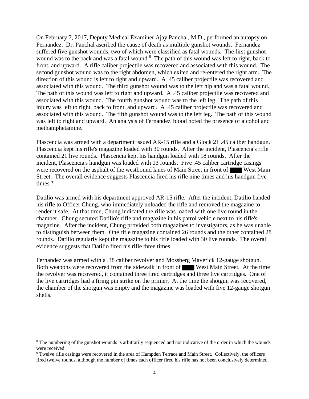On February 7, 2017, Deputy Medical Examiner Ajay Panchal, M.D., performed an autopsy on Fernandez. Dr. Panchal ascribed the cause of death as multiple gunshot wounds. Fernandez suffered five gunshot wounds, two of which were classified as fatal wounds. The first gunshot wound was to the back and was a fatal wound.<sup>8</sup> The path of this wound was left to right, back to front, and upward. A rifle caliber projectile was recovered and associated with this wound. The second gunshot wound was to the right abdomen, which exited and re-entered the right arm. The direction of this wound is left to right and upward. A .45 caliber projectile was recovered and associated with this wound. The third gunshot wound was to the left hip and was a fatal wound. The path of this wound was left to right and upward. A .45 caliber projectile was recovered and associated with this wound. The fourth gunshot wound was to the left leg. The path of this injury was left to right, back to front, and upward. A .45 caliber projectile was recovered and associated with this wound. The fifth gunshot wound was to the left leg. The path of this wound was left to right and upward. An analysis of Fernandez' blood noted the presence of alcohol and methamphetamine.

Plascencia was armed with a department issued AR-15 rifle and a Glock 21 .45 caliber handgun. Plascencia kept his rifle's magazine loaded with 30 rounds. After the incident, Plascencia's rifle contained 21 live rounds. Plascencia kept his handgun loaded with 18 rounds. After the incident, Plascencia's handgun was loaded with 13 rounds. Five .45 caliber cartridge casings were recovered on the asphalt of the westbound lanes of Main Street in front of West Main Street. The overall evidence suggests Plascencia fired his rifle nine times and his handgun five times.<sup>9</sup>

Datilio was armed with his department approved AR-15 rifle. After the incident, Datilio handed his rifle to Officer Chung, who immediately unloaded the rifle and removed the magazine to render it safe. At that time, Chung indicated the rifle was loaded with one live round in the chamber. Chung secured Datilio's rifle and magazine in his patrol vehicle next to his rifle's magazine. After the incident, Chung provided both magazines to investigators, as he was unable to distinguish between them. One rifle magazine contained 26 rounds and the other contained 28 rounds. Datilio regularly kept the magazine to his rifle loaded with 30 live rounds. The overall evidence suggests that Datilio fired his rifle three times.

Fernandez was armed with a .38 caliber revolver and Mossberg Maverick 12-gauge shotgun. Both weapons were recovered from the sidewalk in front of West Main Street. At the time the revolver was recovered, it contained three fired cartridges and three live cartridges. One of the live cartridges had a firing pin strike on the primer. At the time the shotgun was recovered, the chamber of the shotgun was empty and the magazine was loaded with five 12-gauge shotgun shells.

 $\overline{\phantom{a}}$ 

<sup>&</sup>lt;sup>8</sup> The numbering of the gunshot wounds is arbitrarily sequenced and not indicative of the order in which the wounds were received.

<sup>9</sup> Twelve rifle casings were recovered in the area of Hampden Terrace and Main Street. Collectively, the officers fired twelve rounds, although the number of times each officer fired his rifle has not been conclusively determined.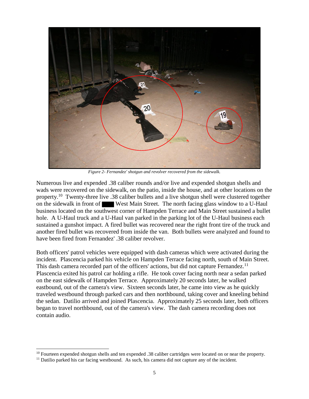

*Figure 2- Fernandez' shotgun and revolver recovered from the sidewalk.*

Numerous live and expended .38 caliber rounds and/or live and expended shotgun shells and wads were recovered on the sidewalk, on the patio, inside the house, and at other locations on the property.<sup>10</sup> Twenty-three live .38 caliber bullets and a live shotgun shell were clustered together on the sidewalk in front of West Main Street. The north facing glass window to a U-Haul business located on the southwest corner of Hampden Terrace and Main Street sustained a bullet hole. A U-Haul truck and a U-Haul van parked in the parking lot of the U-Haul business each sustained a gunshot impact. A fired bullet was recovered near the right front tire of the truck and another fired bullet was recovered from inside the van. Both bullets were analyzed and found to have been fired from Fernandez' .38 caliber revolver.

Both officers' patrol vehicles were equipped with dash cameras which were activated during the incident. Plascencia parked his vehicle on Hampden Terrace facing north, south of Main Street. This dash camera recorded part of the officers' actions, but did not capture Fernandez.<sup>11</sup> Plascencia exited his patrol car holding a rifle. He took cover facing north near a sedan parked on the east sidewalk of Hampden Terrace. Approximately 20 seconds later, he walked eastbound, out of the camera's view. Sixteen seconds later, he came into view as he quickly traveled westbound through parked cars and then northbound, taking cover and kneeling behind the sedan. Datilio arrived and joined Plascencia. Approximately 25 seconds later, both officers began to travel northbound, out of the camera's view. The dash camera recording does not contain audio.

 $\overline{a}$ 

 $10$  Fourteen expended shotgun shells and ten expended .38 caliber cartridges were located on or near the property.

<sup>&</sup>lt;sup>11</sup> Datilio parked his car facing westbound. As such, his camera did not capture any of the incident.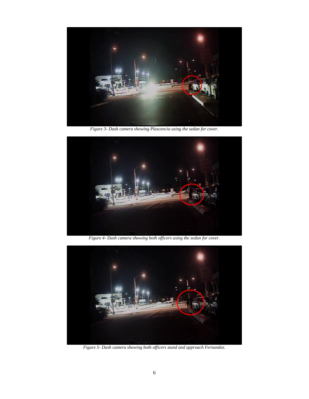

*Figure 3- Dash camera showing Plascencia using the sedan for cover.*



*Figure 4- Dash camera showing both officers using the sedan for cover.*



*Figure 5- Dash camera showing both officers stand and approach Fernandez.*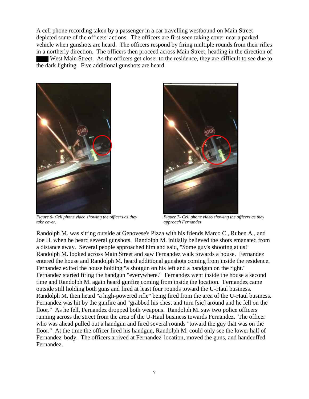A cell phone recording taken by a passenger in a car travelling westbound on Main Street depicted some of the officers' actions. The officers are first seen taking cover near a parked vehicle when gunshots are heard. The officers respond by firing multiple rounds from their rifles in a northerly direction. The officers then proceed across Main Street, heading in the direction of West Main Street. As the officers get closer to the residence, they are difficult to see due to the dark lighting. Five additional gunshots are heard.



*Figure 6- Cell phone video showing the officers as they take cover.*



*Figure 7- Cell phone video showing the officers as they approach Fernandez*

Randolph M. was sitting outside at Genovese's Pizza with his friends Marco C., Ruben A., and Joe H. when he heard several gunshots. Randolph M. initially believed the shots emanated from a distance away. Several people approached him and said, "Some guy's shooting at us!" Randolph M. looked across Main Street and saw Fernandez walk towards a house. Fernandez entered the house and Randolph M. heard additional gunshots coming from inside the residence. Fernandez exited the house holding "a shotgun on his left and a handgun on the right." Fernandez started firing the handgun "everywhere." Fernandez went inside the house a second time and Randolph M. again heard gunfire coming from inside the location. Fernandez came outside still holding both guns and fired at least four rounds toward the U-Haul business. Randolph M. then heard "a high-powered rifle" being fired from the area of the U-Haul business. Fernandez was hit by the gunfire and "grabbed his chest and turn [sic] around and he fell on the floor." As he fell, Fernandez dropped both weapons. Randolph M. saw two police officers running across the street from the area of the U-Haul business towards Fernandez. The officer who was ahead pulled out a handgun and fired several rounds "toward the guy that was on the floor." At the time the officer fired his handgun, Randolph M. could only see the lower half of Fernandez' body. The officers arrived at Fernandez' location, moved the guns, and handcuffed Fernandez.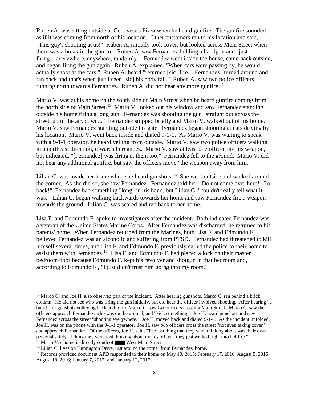Ruben A. was sitting outside at Genovese's Pizza when he heard gunfire. The gunfire sounded as if it was coming from north of his location. Other customers ran to his location and said, "This guy's shooting at us!" Ruben A. initially took cover, but looked across Main Street when there was a break in the gunfire. Ruben A. saw Fernandez holding a handgun and "just firing…everywhere, anywhere, randomly." Fernandez went inside the house, came back outside, and began firing the gun again. Ruben A. explained, "When cars were passing by, he would actually shoot at the cars." Ruben A. heard "returned [sic] fire." Fernandez "turned around and ran back and that's when just I seen [sic] his body fall." Ruben A. saw two police officers running north towards Fernandez. Ruben A, did not hear any more gunfire.<sup>12</sup>

Mario V. was at his home on the south side of Main Street when he heard gunfire coming from the north side of Main Street.<sup>13</sup> Mario V. looked out his window and saw Fernandez standing outside his home firing a long gun. Fernandez was shooting the gun "straight out across the street, up in the air, down..." Fernandez stopped briefly and Mario V. walked out of his home. Mario V. saw Fernandez standing outside his gate. Fernandez began shooting at cars driving by his location. Mario V. went back inside and dialed 9-1-1. As Mario V. was waiting to speak with a 9-1-1 operator, he heard yelling from outside. Mario V. saw two police officers walking in a northeast direction, towards Fernandez. Mario V. saw at least one officer fire his weapon, but indicated, "[Fernandez] was firing at them too." Fernandez fell to the ground. Mario V. did not hear any additional gunfire, but saw the officers move "the weapon away from him."

Lilian C. was inside her home when she heard gunshots.<sup>14</sup> She went outside and walked around the corner. As she did so, she saw Fernandez. Fernandez told her, "Do not come over here! Go back!" Fernandez had something "long" in his hand, but Lilian C. "couldn't really tell what it was." Lilian C. began walking backwards towards her home and saw Fernandez fire a weapon towards the ground. Lilian C. was scared and ran back to her home.

Lisa F. and Edmundo F. spoke to investigators after the incident. Both indicated Fernandez was a veteran of the United States Marine Corps. After Fernandez was discharged, he returned to his parents' home. When Fernandez returned from the Marines, both Lisa F. and Edmundo F. believed Fernandez was an alcoholic and suffering from PTSD. Fernandez had threatened to kill himself several times, and Lisa F. and Edmundo F. previously called the police to their home to assist them with Fernandez.<sup>15</sup> Lisa F. and Edmundo F. had placed a lock on their master bedroom door because Edmundo F. kept his revolver and shotgun in that bedroom and, according to Edmundo F., "I just didn't trust him going into my room."

 $\overline{a}$ 

<sup>&</sup>lt;sup>12</sup> Marco C. and Joe H. also observed part of the incident. After hearing gunshots, Marco C. ran behind a brick column. He did not see who was firing the gun initially, but did hear the officer involved shooting. After hearing "a bunch" of gunshots volleying back and forth, Marco C. saw two officers crossing Main Street. Marco C. saw the officers approach Fernandez, who was on the ground, and "kick something." Joe H. heard gunshots and saw Fernandez across the street "shooting everywhere." Joe H. moved back and dialed 9-1-1. As the incident unfolded, Joe H. was on the phone with the 9-1-1 operator. Joe H. saw two officers cross the street "not even taking cover" and approach Fernandez. Of the officers, Joe H. said, "The last thing that they were thinking about was their own personal safety. I think they were just thinking about the rest of us…they just walked right into hellfire." <sup>13</sup> Mario V.'s home is directly south of West Main Street.

 $14$  Lilian C. lives on Huntington Drive, just around the corner from Fernandez' home.

<sup>&</sup>lt;sup>15</sup> Records provided document APD responded to their home on May 10, 2015; February 17, 2016; August 5, 2016; August 18, 2016; January 7, 2017; and January 12, 2017.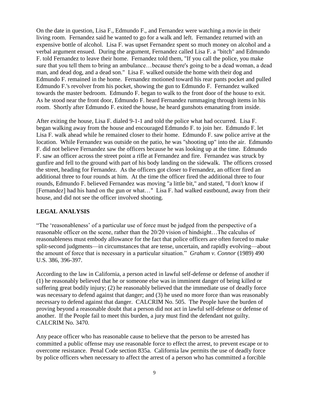On the date in question, Lisa F., Edmundo F., and Fernandez were watching a movie in their living room. Fernandez said he wanted to go for a walk and left. Fernandez returned with an expensive bottle of alcohol. Lisa F. was upset Fernandez spent so much money on alcohol and a verbal argument ensued. During the argument, Fernandez called Lisa F. a "bitch" and Edmundo F. told Fernandez to leave their home. Fernandez told them, "If you call the police, you make sure that you tell them to bring an ambulance…because there's going to be a dead woman, a dead man, and dead dog, and a dead son." Lisa F. walked outside the home with their dog and Edmundo F. remained in the home. Fernandez motioned toward his rear pants pocket and pulled Edmundo F.'s revolver from his pocket, showing the gun to Edmundo F. Fernandez walked towards the master bedroom. Edmundo F. began to walk to the front door of the house to exit. As he stood near the front door, Edmundo F. heard Fernandez rummaging through items in his room. Shortly after Edmundo F. exited the house, he heard gunshots emanating from inside.

After exiting the house, Lisa F. dialed 9-1-1 and told the police what had occurred. Lisa F. began walking away from the house and encouraged Edmundo F. to join her. Edmundo F. let Lisa F. walk ahead while he remained closer to their home. Edmundo F. saw police arrive at the location. While Fernandez was outside on the patio, he was "shooting up" into the air. Edmundo F. did not believe Fernandez saw the officers because he was looking up at the time. Edmundo F. saw an officer across the street point a rifle at Fernandez and fire. Fernandez was struck by gunfire and fell to the ground with part of his body landing on the sidewalk. The officers crossed the street, heading for Fernandez. As the officers got closer to Fernandez, an officer fired an additional three to four rounds at him. At the time the officer fired the additional three to four rounds, Edmundo F. believed Fernandez was moving "a little bit," and stated, "I don't know if [Fernandez] had his hand on the gun or what…" Lisa F. had walked eastbound, away from their house, and did not see the officer involved shooting.

#### **LEGAL ANALYSIS**

"The 'reasonableness' of a particular use of force must be judged from the perspective of a reasonable officer on the scene, rather than the 20/20 vision of hindsight…The calculus of reasonableness must embody allowance for the fact that police officers are often forced to make split-second judgments—in circumstances that are tense, uncertain, and rapidly evolving—about the amount of force that is necessary in a particular situation." *Graham v. Connor* (1989) 490 U.S. 386, 396-397.

According to the law in California, a person acted in lawful self-defense or defense of another if (1) he reasonably believed that he or someone else was in imminent danger of being killed or suffering great bodily injury; (2) he reasonably believed that the immediate use of deadly force was necessary to defend against that danger; and (3) he used no more force than was reasonably necessary to defend against that danger. CALCRIM No. 505. The People have the burden of proving beyond a reasonable doubt that a person did not act in lawful self-defense or defense of another. If the People fail to meet this burden, a jury must find the defendant not guilty. CALCRIM No. 3470.

Any peace officer who has reasonable cause to believe that the person to be arrested has committed a public offense may use reasonable force to effect the arrest, to prevent escape or to overcome resistance. Penal Code section 835a. California law permits the use of deadly force by police officers when necessary to affect the arrest of a person who has committed a forcible